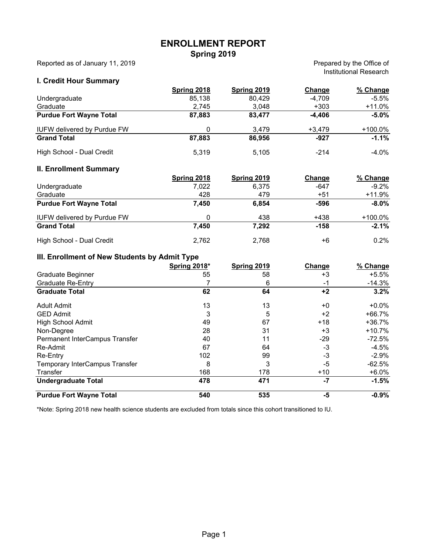# **ENROLLMENT REPORT Spring 2019**

Reported as of January 11, 2019

Prepared by the Office of Institutional Research

### **I. Credit Hour Summary**

|                                    | Spring 2018        | <b>Spring 2019</b> | Change   | % Change   |
|------------------------------------|--------------------|--------------------|----------|------------|
| Undergraduate                      | 85,138             | 80,429             | $-4,709$ | $-5.5\%$   |
| Graduate                           | 2,745              | 3,048              | $+303$   | +11.0%     |
| <b>Purdue Fort Wayne Total</b>     | 87,883             | 83,477             | $-4,406$ | $-5.0\%$   |
| <b>IUFW delivered by Purdue FW</b> | 0                  | 3,479              | $+3,479$ | +100.0%    |
| <b>Grand Total</b>                 | 87,883             | 86,956             | $-927$   | $-1.1%$    |
| High School - Dual Credit          | 5,319              | 5,105              | $-214$   | $-4.0\%$   |
| <b>II. Enrollment Summary</b>      |                    |                    |          |            |
|                                    | <b>Spring 2018</b> | <b>Spring 2019</b> | Change   | % Change   |
| Undergraduate                      | 7,022              | 6,375              | -647     | $-9.2\%$   |
| Graduate                           | 428                | 479                | $+51$    | +11.9%     |
| <b>Purdue Fort Wayne Total</b>     | 7,450              | 6,854              | -596     | $-8.0\%$   |
| <b>IUFW delivered by Purdue FW</b> | 0                  | 438                | $+438$   | $+100.0\%$ |
| <b>Grand Total</b>                 | 7,450              | 7,292              | $-158$   | $-2.1%$    |
| High School - Dual Credit          | 2,762              | 2,768              | $+6$     | 0.2%       |
|                                    |                    |                    |          |            |

#### **III. Enrollment of New Students by Admit Type**

|                                | <b>Spring 2018*</b> | Spring 2019 | Change | % Change |
|--------------------------------|---------------------|-------------|--------|----------|
| Graduate Beginner              | 55                  | 58          | +3     | +5.5%    |
| <b>Graduate Re-Entry</b>       |                     | 6           | -1     | -14.3%   |
| <b>Graduate Total</b>          | 62                  | 64          | $+2$   | 3.2%     |
| <b>Adult Admit</b>             | 13                  | 13          | $+0$   | $+0.0\%$ |
| <b>GED Admit</b>               | 3                   | 5           | $+2$   | +66.7%   |
| High School Admit              | 49                  | 67          | $+18$  | $+36.7%$ |
| Non-Degree                     | 28                  | 31          | +3     | $+10.7%$ |
| Permanent InterCampus Transfer | 40                  | 11          | -29    | $-72.5%$ |
| Re-Admit                       | 67                  | 64          | $-3$   | $-4.5%$  |
| Re-Entry                       | 102                 | 99          | $-3$   | $-2.9\%$ |
| Temporary InterCampus Transfer | 8                   | 3           | -5     | $-62.5%$ |
| Transfer                       | 168                 | 178         | $+10$  | $+6.0%$  |
| <b>Undergraduate Total</b>     | 478                 | 471         | -7     | $-1.5%$  |
| <b>Purdue Fort Wayne Total</b> | 540                 | 535         | -5     | $-0.9%$  |

\*Note: Spring 2018 new health science students are excluded from totals since this cohort transitioned to IU.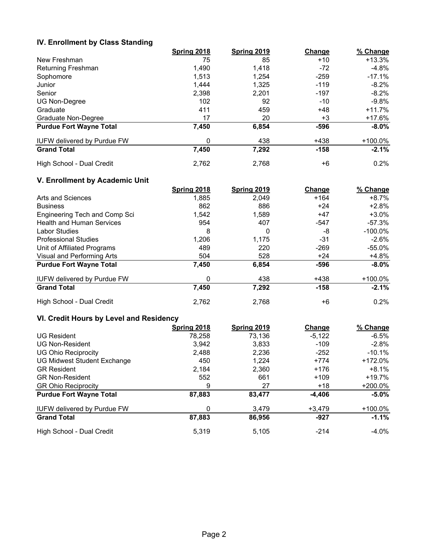### **IV. Enrollment by Class Standing**

|                                    | Spring 2018 | Spring 2019 | Change | % Change  |
|------------------------------------|-------------|-------------|--------|-----------|
| New Freshman                       | 75          | 85          | $+10$  | $+13.3%$  |
| Returning Freshman                 | 1,490       | 1,418       | -72    | $-4.8%$   |
| Sophomore                          | 1.513       | 1.254       | $-259$ | $-17.1\%$ |
| Junior                             | 1,444       | 1.325       | $-119$ | $-8.2%$   |
| Senior                             | 2,398       | 2.201       | $-197$ | $-8.2%$   |
| <b>UG Non-Degree</b>               | 102         | 92          | -10    | $-9.8\%$  |
| Graduate                           | 411         | 459         | $+48$  | $+11.7%$  |
| Graduate Non-Degree                | 17          | 20          | $+3$   | +17.6%    |
| <b>Purdue Fort Wayne Total</b>     | 7,450       | 6,854       | $-596$ | $-8.0\%$  |
| <b>IUFW delivered by Purdue FW</b> | 0           | 438         | $+438$ | +100.0%   |
| <b>Grand Total</b>                 | 7,450       | 7,292       | $-158$ | $-2.1%$   |
| High School - Dual Credit          | 2,762       | 2,768       | +6     | $0.2\%$   |

### **V. Enrollment by Academic Unit**

|                                    | Spring 2018 | <b>Spring 2019</b> | Change | % Change   |
|------------------------------------|-------------|--------------------|--------|------------|
| Arts and Sciences                  | 1,885       | 2.049              | $+164$ | +8.7%      |
| <b>Business</b>                    | 862         | 886                | $+24$  | $+2.8%$    |
| Engineering Tech and Comp Sci      | 1,542       | 1,589              | +47    | $+3.0\%$   |
| <b>Health and Human Services</b>   | 954         | 407                | $-547$ | -57.3%     |
| Labor Studies                      | 8           | 0                  | -8     | $-100.0\%$ |
| <b>Professional Studies</b>        | 1,206       | 1.175              | -31    | -2.6%      |
| Unit of Affiliated Programs        | 489         | 220                | $-269$ | -55.0%     |
| Visual and Performing Arts         | 504         | 528                | $+24$  | +4.8%      |
| <b>Purdue Fort Wayne Total</b>     | 7,450       | 6,854              | $-596$ | $-8.0\%$   |
| <b>IUFW delivered by Purdue FW</b> | 0           | 438                | $+438$ | $+100.0\%$ |
| <b>Grand Total</b>                 | 7,450       | 7,292              | $-158$ | $-2.1%$    |
| High School - Dual Credit          | 2,762       | 2,768              | +6     | 0.2%       |

# **VI. Credit Hours by Level and Residency**

|                                    | Spring 2018 | <b>Spring 2019</b> | <b>Change</b> | % Change   |
|------------------------------------|-------------|--------------------|---------------|------------|
| <b>UG Resident</b>                 | 78,258      | 73,136             | $-5,122$      | $-6.5\%$   |
| <b>UG Non-Resident</b>             | 3,942       | 3,833              | $-109$        | $-2.8\%$   |
| <b>UG Ohio Reciprocity</b>         | 2,488       | 2,236              | $-252$        | $-10.1\%$  |
| <b>UG Midwest Student Exchange</b> | 450         | 1,224              | $+774$        | $+172.0\%$ |
| <b>GR Resident</b>                 | 2,184       | 2,360              | $+176$        | $+8.1%$    |
| <b>GR Non-Resident</b>             | 552         | 661                | $+109$        | +19.7%     |
| <b>GR Ohio Reciprocity</b>         | 9           | 27                 | $+18$         | $+200.0\%$ |
| <b>Purdue Fort Wayne Total</b>     | 87,883      | 83,477             | $-4,406$      | $-5.0\%$   |
| <b>IUFW delivered by Purdue FW</b> | 0           | 3.479              | $+3.479$      | +100.0%    |
| <b>Grand Total</b>                 | 87,883      | 86,956             | $-927$        | $-1.1%$    |
| High School - Dual Credit          | 5.319       | 5.105              | $-214$        | -4.0%      |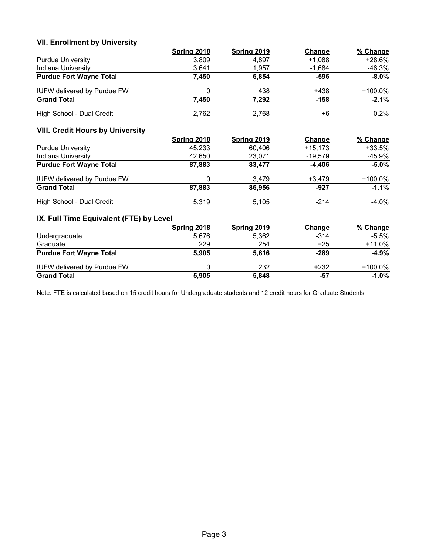# **VII. Enrollment by University**

|                                         | <b>Spring 2018</b> | <b>Spring 2019</b> | Change    | % Change   |
|-----------------------------------------|--------------------|--------------------|-----------|------------|
| <b>Purdue University</b>                | 3,809              | 4,897              | $+1,088$  | $+28.6%$   |
| Indiana University                      | 3,641              | 1,957              | $-1,684$  | $-46.3%$   |
| <b>Purdue Fort Wayne Total</b>          | 7,450              | 6,854              | $-596$    | $-8.0\%$   |
| <b>IUFW delivered by Purdue FW</b>      | 0                  | 438                | $+438$    | +100.0%    |
| <b>Grand Total</b>                      | 7,450              | 7,292              | $-158$    | $-2.1%$    |
| High School - Dual Credit               | 2,762              | 2,768              | $+6$      | 0.2%       |
| <b>VIII. Credit Hours by University</b> |                    |                    |           |            |
|                                         | <b>Spring 2018</b> | <b>Spring 2019</b> | Change    | % Change   |
| <b>Purdue University</b>                | 45,233             | 60,406             | $+15,173$ | $+33.5%$   |
| Indiana University                      | 42,650             | 23,071             | $-19,579$ | -45.9%     |
| <b>Purdue Fort Wayne Total</b>          | 87,883             | 83,477             | $-4,406$  | $-5.0%$    |
| IUFW delivered by Purdue FW             | 0                  | 3,479              | $+3,479$  | +100.0%    |
| <b>Grand Total</b>                      | 87,883             | 86,956             | $-927$    | $-1.1%$    |
| High School - Dual Credit               | 5,319              | 5,105              | $-214$    | $-4.0%$    |
| IX. Full Time Equivalent (FTE) by Level |                    |                    |           |            |
|                                         | <b>Spring 2018</b> | <b>Spring 2019</b> | Change    | % Change   |
| Undergraduate                           | 5,676              | 5,362              | $-314$    | $-5.5\%$   |
| Graduate                                | 229                | 254                | $+25$     | $+11.0%$   |
| <b>Purdue Fort Wayne Total</b>          | 5,905              | 5,616              | $-289$    | $-4.9%$    |
| <b>IUFW delivered by Purdue FW</b>      | 0                  | 232                | $+232$    | $+100.0\%$ |
| <b>Grand Total</b>                      | 5,905              | 5,848              | $-57$     | $-1.0%$    |

Note: FTE is calculated based on 15 credit hours for Undergraduate students and 12 credit hours for Graduate Students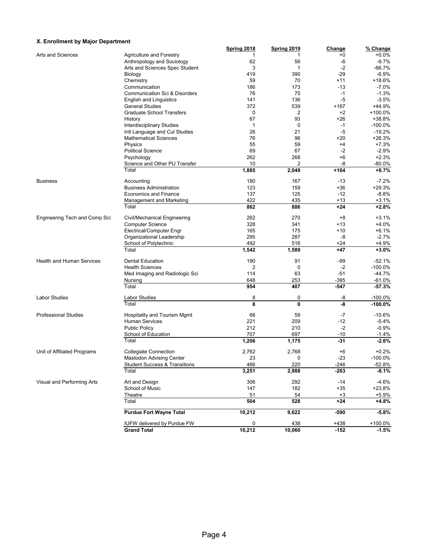#### **X. Enrollment by Major Department**

| A. Employment by major bepartment |                                          | Spring 2018 | Spring 2019    | Change | % Change   |
|-----------------------------------|------------------------------------------|-------------|----------------|--------|------------|
| Arts and Sciences                 | <b>Agriculture and Forestry</b>          | 1           | 1              | +0     | $+0.0%$    |
|                                   | Anthropology and Sociology               | 62          | 56             | -6     | $-9.7%$    |
|                                   | Arts and Sciences Spec Student           | 3           | 1              | $-2$   | -66.7%     |
|                                   | Biology                                  | 419         | 390            | $-29$  | $-6.9%$    |
|                                   | Chemistry                                | 59          | 70             | +11    | +18.6%     |
|                                   | Communication                            | 186         | 173            | $-13$  |            |
|                                   |                                          |             |                |        | $-7.0%$    |
|                                   | Communication Sci & Disorders            | 76          | 75             | $-1$   | $-1.3%$    |
|                                   | <b>English and Linguistics</b>           | 141         | 136            | $-5$   | $-3.5%$    |
|                                   | <b>General Studies</b>                   | 372         | 539            | $+167$ | +44.9%     |
|                                   | <b>Graduate School Transfers</b>         | 0           | $\overline{2}$ | $+2$   | +100.0%    |
|                                   | History                                  | 67          | 93             | $+26$  | +38.8%     |
|                                   | <b>Interdisciplinary Studies</b>         | 1           | 0              | $-1$   | $-100.0\%$ |
|                                   | Intl Language and Cul Studies            | 26          | 21             | $-5$   | $-19.2%$   |
|                                   | <b>Mathematical Sciences</b>             | 76          | 96             | +20    | +26.3%     |
|                                   | Physics                                  | 55          | 59             | $+4$   | $+7.3%$    |
|                                   | <b>Political Science</b>                 | 69          | 67             | -2     | $-2.9%$    |
|                                   | Psychology                               | 262         | 268            | $+6$   | $+2.3%$    |
|                                   | Science and Other PU Transfer            | 10          | $\overline{2}$ | -8     | $-80.0\%$  |
|                                   | Total                                    | 1,885       | 2,049          | $+164$ | $+8.7%$    |
|                                   |                                          |             |                |        |            |
| <b>Business</b>                   | Accounting                               | 180         | 167            | $-13$  | $-7.2%$    |
|                                   | <b>Business Administration</b>           | 123         | 159            | $+36$  | $+29.3%$   |
|                                   | <b>Economics and Finance</b>             | 137         | 125            | $-12$  | $-8.8%$    |
|                                   | Management and Marketing                 | 422         | 435            | $+13$  | $+3.1%$    |
|                                   | Total                                    | 862         | 886            | $+24$  | $+2.8%$    |
| Engineering Tech and Comp Sci     | Civil/Mechanical Engineering             | 262         | 270            | $+8$   | $+3.1%$    |
|                                   | <b>Computer Science</b>                  | 328         | 341            | +13    | $+4.0%$    |
|                                   | Electrical/Computer Engr                 | 165         | 175            | +10    | $+6.1%$    |
|                                   | Organizational Leadership                |             |                |        | $-2.7%$    |
|                                   |                                          | 295         | 287            | -8     |            |
|                                   | School of Polytechnic                    | 492         | 516            | +24    | $+4.9%$    |
|                                   | Total                                    | 1,542       | 1,589          | $+47$  | $+3.0%$    |
| <b>Health and Human Services</b>  | <b>Dental Education</b>                  | 190         | 91             | -99    | $-52.1%$   |
|                                   | <b>Health Sciences</b>                   | 2           | 0              | $-2$   | $-100.0%$  |
|                                   | Med Imaging and Radiologic Sci           | 114         | 63             | $-51$  | $-44.7%$   |
|                                   | Nursing                                  | 648         | 253            | $-395$ | $-61.0%$   |
|                                   | Total                                    | 954         | 407            | $-547$ | $-57.3%$   |
| <b>Labor Studies</b>              | Labor Studies                            | 8           | 0              | -8     | $-100.0\%$ |
|                                   | Total                                    | 8           | $\mathbf{0}$   | -8     | $-100.0%$  |
| <b>Professional Studies</b>       | Hospitality and Tourism Mgmt             | 66          | 59             | $-7$   | $-10.6%$   |
|                                   | <b>Human Services</b>                    | 221         | 209            | $-12$  | $-5.4%$    |
|                                   | <b>Public Policy</b>                     | 212         | 210            | $-2$   | $-0.9%$    |
|                                   |                                          |             |                |        |            |
|                                   | School of Education                      | 707         | 697            | $-10$  | $-1.4%$    |
|                                   | Total                                    | 1,206       | 1,175          | -31    | $-2.6%$    |
| Unit of Affiliated Programs       | <b>Collegiate Connection</b>             | 2,762       | 2,768          | +6     | $+0.2%$    |
|                                   | Mastodon Advising Center                 | 23          | U              | -23    | $-100.0\%$ |
|                                   | <b>Student Success &amp; Transitions</b> | 466         | 220            | $-246$ | $-52.8%$   |
|                                   | Total                                    | 3,251       | 2,988          | $-263$ | $-8.1%$    |
| Visual and Performing Arts        | Art and Design                           | 306         | 292            | $-14$  | -4.6%      |
|                                   | School of Music                          | 147         | 182            | $+35$  | +23.8%     |
|                                   | Theatre                                  | 51          | 54             | $+3$   | $+5.9%$    |
|                                   | Total                                    | 504         | 528            | $+24$  | $+4.8%$    |
|                                   | <b>Purdue Fort Wayne Total</b>           |             |                |        |            |
|                                   |                                          | 10,212      | 9,622          | -590   | $-5.8%$    |
|                                   | <b>IUFW delivered by Purdue FW</b>       | 0           | 438            | $+438$ | $+100.0\%$ |
|                                   | <b>Grand Total</b>                       | 10,212      | 10,060         | $-152$ | $-1.5%$    |